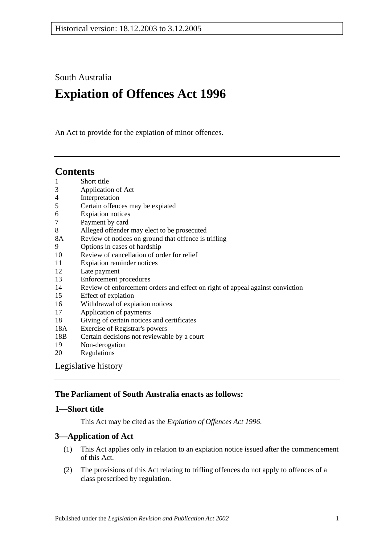South Australia

# **Expiation of Offences Act 1996**

An Act to provide for the expiation of minor offences.

# **Contents**

- 1 [Short title](#page-0-0)
- 3 [Application of Act](#page-0-1)
- 4 [Interpretation](#page-1-0)
- 5 [Certain offences may be expiated](#page-1-1)
- 6 [Expiation notices](#page-2-0)
- 7 [Payment by card](#page-4-0)
- 8 [Alleged offender may elect to be prosecuted](#page-4-1)
- 8A [Review of notices on ground that offence is](#page-4-2) trifling
- 9 [Options in cases of hardship](#page-5-0)
- 10 [Review of cancellation of order for relief](#page-6-0)
- 11 [Expiation reminder notices](#page-6-1)
- 12 [Late payment](#page-7-0)
- 13 [Enforcement procedures](#page-7-1)
- 14 [Review of enforcement orders and effect on right of appeal against conviction](#page-8-0)
- 15 [Effect of expiation](#page-9-0)
- 16 [Withdrawal of expiation notices](#page-10-0)
- 17 [Application of payments](#page-11-0)
- 18 [Giving of certain notices and certificates](#page-12-0)
- 18A [Exercise of Registrar's powers](#page-12-1)
- 18B [Certain decisions not reviewable by a court](#page-12-2)
- 19 [Non-derogation](#page-12-3)<br>20 Regulations
- **[Regulations](#page-12-4)**

[Legislative history](#page-13-0)

# **The Parliament of South Australia enacts as follows:**

### <span id="page-0-0"></span>**1—Short title**

This Act may be cited as the *Expiation of Offences Act 1996*.

# <span id="page-0-1"></span>**3—Application of Act**

- (1) This Act applies only in relation to an expiation notice issued after the commencement of this Act.
- (2) The provisions of this Act relating to trifling offences do not apply to offences of a class prescribed by regulation.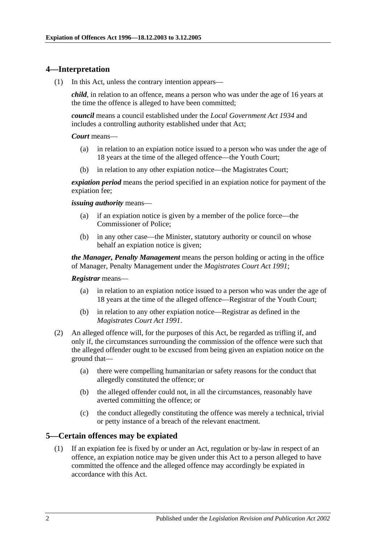### <span id="page-1-0"></span>**4—Interpretation**

(1) In this Act, unless the contrary intention appears—

*child*, in relation to an offence, means a person who was under the age of 16 years at the time the offence is alleged to have been committed;

*council* means a council established under the *[Local Government Act](http://www.legislation.sa.gov.au/index.aspx?action=legref&type=act&legtitle=Local%20Government%20Act%201934) 1934* and includes a controlling authority established under that Act;

#### *Court* means—

- (a) in relation to an expiation notice issued to a person who was under the age of 18 years at the time of the alleged offence—the Youth Court;
- (b) in relation to any other expiation notice—the Magistrates Court;

*expiation period* means the period specified in an expiation notice for payment of the expiation fee;

#### *issuing authority* means—

- (a) if an expiation notice is given by a member of the police force—the Commissioner of Police;
- (b) in any other case—the Minister, statutory authority or council on whose behalf an expiation notice is given;

*the Manager, Penalty Management* means the person holding or acting in the office of Manager, Penalty Management under the *[Magistrates Court Act](http://www.legislation.sa.gov.au/index.aspx?action=legref&type=act&legtitle=Magistrates%20Court%20Act%201991) 1991*;

#### *Registrar* means—

- (a) in relation to an expiation notice issued to a person who was under the age of 18 years at the time of the alleged offence—Registrar of the Youth Court;
- (b) in relation to any other expiation notice—Registrar as defined in the *[Magistrates Court Act](http://www.legislation.sa.gov.au/index.aspx?action=legref&type=act&legtitle=Magistrates%20Court%20Act%201991) 1991*.
- (2) An alleged offence will, for the purposes of this Act, be regarded as trifling if, and only if, the circumstances surrounding the commission of the offence were such that the alleged offender ought to be excused from being given an expiation notice on the ground that—
	- (a) there were compelling humanitarian or safety reasons for the conduct that allegedly constituted the offence; or
	- (b) the alleged offender could not, in all the circumstances, reasonably have averted committing the offence; or
	- (c) the conduct allegedly constituting the offence was merely a technical, trivial or petty instance of a breach of the relevant enactment.

### <span id="page-1-2"></span><span id="page-1-1"></span>**5—Certain offences may be expiated**

(1) If an expiation fee is fixed by or under an Act, regulation or by-law in respect of an offence, an expiation notice may be given under this Act to a person alleged to have committed the offence and the alleged offence may accordingly be expiated in accordance with this Act.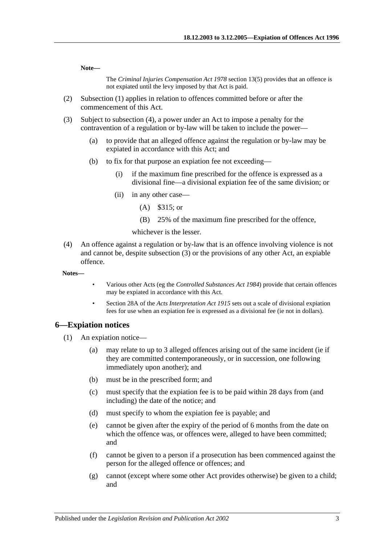**Note—**

The *[Criminal Injuries Compensation Act](http://www.legislation.sa.gov.au/index.aspx?action=legref&type=act&legtitle=Criminal%20Injuries%20Compensation%20Act%201978) 1978* section 13(5) provides that an offence is not expiated until the levy imposed by that Act is paid.

- (2) [Subsection](#page-1-2) (1) applies in relation to offences committed before or after the commencement of this Act.
- <span id="page-2-2"></span>(3) Subject to [subsection](#page-2-1) (4), a power under an Act to impose a penalty for the contravention of a regulation or by-law will be taken to include the power—
	- (a) to provide that an alleged offence against the regulation or by-law may be expiated in accordance with this Act; and
	- (b) to fix for that purpose an expiation fee not exceeding—
		- (i) if the maximum fine prescribed for the offence is expressed as a divisional fine—a divisional expiation fee of the same division; or
		- (ii) in any other case—
			- (A) \$315; or
			- (B) 25% of the maximum fine prescribed for the offence,

whichever is the lesser.

- <span id="page-2-1"></span>(4) An offence against a regulation or by-law that is an offence involving violence is not and cannot be, despite [subsection](#page-2-2) (3) or the provisions of any other Act, an expiable offence.
- **Notes—**
- Various other Acts (eg the *[Controlled Substances Act](http://www.legislation.sa.gov.au/index.aspx?action=legref&type=act&legtitle=Controlled%20Substances%20Act%201984) 1984*) provide that certain offences may be expiated in accordance with this Act.
- Section 28A of the *[Acts Interpretation Act](http://www.legislation.sa.gov.au/index.aspx?action=legref&type=act&legtitle=Acts%20Interpretation%20Act%201915) 1915* sets out a scale of divisional expiation fees for use when an expiation fee is expressed as a divisional fee (ie not in dollars).

#### <span id="page-2-0"></span>**6—Expiation notices**

- (1) An expiation notice—
	- (a) may relate to up to 3 alleged offences arising out of the same incident (ie if they are committed contemporaneously, or in succession, one following immediately upon another); and
	- (b) must be in the prescribed form; and
	- (c) must specify that the expiation fee is to be paid within 28 days from (and including) the date of the notice; and
	- (d) must specify to whom the expiation fee is payable; and
	- (e) cannot be given after the expiry of the period of 6 months from the date on which the offence was, or offences were, alleged to have been committed; and
	- (f) cannot be given to a person if a prosecution has been commenced against the person for the alleged offence or offences; and
	- (g) cannot (except where some other Act provides otherwise) be given to a child; and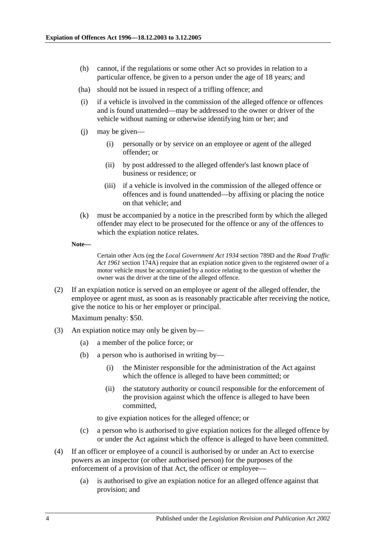- (h) cannot, if the regulations or some other Act so provides in relation to a particular offence, be given to a person under the age of 18 years; and
- (ha) should not be issued in respect of a trifling offence; and
- (i) if a vehicle is involved in the commission of the alleged offence or offences and is found unattended—may be addressed to the owner or driver of the vehicle without naming or otherwise identifying him or her; and
- (j) may be given—
	- (i) personally or by service on an employee or agent of the alleged offender; or
	- (ii) by post addressed to the alleged offender's last known place of business or residence; or
	- (iii) if a vehicle is involved in the commission of the alleged offence or offences and is found unattended—by affixing or placing the notice on that vehicle; and
- (k) must be accompanied by a notice in the prescribed form by which the alleged offender may elect to be prosecuted for the offence or any of the offences to which the expiation notice relates.
- **Note—**

Certain other Acts (eg the *[Local Government Act](http://www.legislation.sa.gov.au/index.aspx?action=legref&type=act&legtitle=Local%20Government%20Act%201934) 1934* section 789D and the *[Road Traffic](http://www.legislation.sa.gov.au/index.aspx?action=legref&type=act&legtitle=Road%20Traffic%20Act%201961)  Act [1961](http://www.legislation.sa.gov.au/index.aspx?action=legref&type=act&legtitle=Road%20Traffic%20Act%201961)* section 174A) require that an expiation notice given to the registered owner of a motor vehicle must be accompanied by a notice relating to the question of whether the owner was the driver at the time of the alleged offence.

(2) If an expiation notice is served on an employee or agent of the alleged offender, the employee or agent must, as soon as is reasonably practicable after receiving the notice, give the notice to his or her employer or principal.

Maximum penalty: \$50.

- (3) An expiation notice may only be given by—
	- (a) a member of the police force; or
	- (b) a person who is authorised in writing by—
		- (i) the Minister responsible for the administration of the Act against which the offence is alleged to have been committed; or
		- (ii) the statutory authority or council responsible for the enforcement of the provision against which the offence is alleged to have been committed,

to give expiation notices for the alleged offence; or

- (c) a person who is authorised to give expiation notices for the alleged offence by or under the Act against which the offence is alleged to have been committed.
- (4) If an officer or employee of a council is authorised by or under an Act to exercise powers as an inspector (or other authorised person) for the purposes of the enforcement of a provision of that Act, the officer or employee—
	- (a) is authorised to give an expiation notice for an alleged offence against that provision; and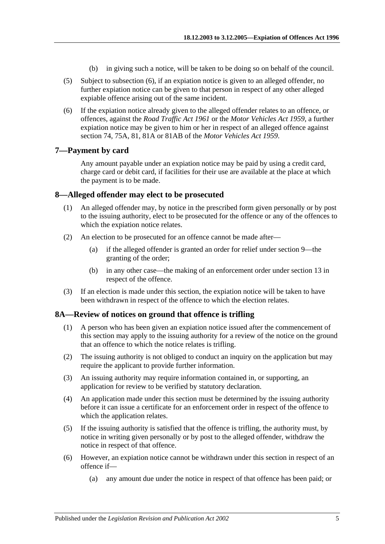- (b) in giving such a notice, will be taken to be doing so on behalf of the council.
- <span id="page-4-4"></span>(5) Subject to [subsection](#page-4-3) (6), if an expiation notice is given to an alleged offender, no further expiation notice can be given to that person in respect of any other alleged expiable offence arising out of the same incident.
- <span id="page-4-3"></span>(6) If the expiation notice already given to the alleged offender relates to an offence, or offences, against the *[Road Traffic Act](http://www.legislation.sa.gov.au/index.aspx?action=legref&type=act&legtitle=Road%20Traffic%20Act%201961) 1961* or the *[Motor Vehicles Act](http://www.legislation.sa.gov.au/index.aspx?action=legref&type=act&legtitle=Motor%20Vehicles%20Act%201959) 1959*, a further expiation notice may be given to him or her in respect of an alleged offence against section 74, 75A, 81, 81A or 81AB of the *[Motor Vehicles Act](http://www.legislation.sa.gov.au/index.aspx?action=legref&type=act&legtitle=Motor%20Vehicles%20Act%201959) 1959*.

### <span id="page-4-0"></span>**7—Payment by card**

Any amount payable under an expiation notice may be paid by using a credit card, charge card or debit card, if facilities for their use are available at the place at which the payment is to be made.

### <span id="page-4-1"></span>**8—Alleged offender may elect to be prosecuted**

- (1) An alleged offender may, by notice in the prescribed form given personally or by post to the issuing authority, elect to be prosecuted for the offence or any of the offences to which the expiation notice relates.
- (2) An election to be prosecuted for an offence cannot be made after—
	- (a) if the alleged offender is granted an order for relief under [section](#page-5-0) 9—the granting of the order;
	- (b) in any other case—the making of an enforcement order under [section](#page-7-1) 13 in respect of the offence.
- (3) If an election is made under this section, the expiation notice will be taken to have been withdrawn in respect of the offence to which the election relates.

### <span id="page-4-2"></span>**8A—Review of notices on ground that offence is trifling**

- (1) A person who has been given an expiation notice issued after the commencement of this section may apply to the issuing authority for a review of the notice on the ground that an offence to which the notice relates is trifling.
- (2) The issuing authority is not obliged to conduct an inquiry on the application but may require the applicant to provide further information.
- (3) An issuing authority may require information contained in, or supporting, an application for review to be verified by statutory declaration.
- (4) An application made under this section must be determined by the issuing authority before it can issue a certificate for an enforcement order in respect of the offence to which the application relates.
- (5) If the issuing authority is satisfied that the offence is trifling, the authority must, by notice in writing given personally or by post to the alleged offender, withdraw the notice in respect of that offence.
- (6) However, an expiation notice cannot be withdrawn under this section in respect of an offence if—
	- (a) any amount due under the notice in respect of that offence has been paid; or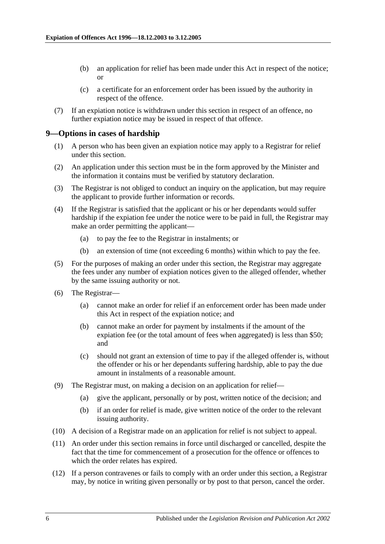- (b) an application for relief has been made under this Act in respect of the notice; or
- (c) a certificate for an enforcement order has been issued by the authority in respect of the offence.
- (7) If an expiation notice is withdrawn under this section in respect of an offence, no further expiation notice may be issued in respect of that offence.

### <span id="page-5-0"></span>**9—Options in cases of hardship**

- (1) A person who has been given an expiation notice may apply to a Registrar for relief under this section.
- (2) An application under this section must be in the form approved by the Minister and the information it contains must be verified by statutory declaration.
- (3) The Registrar is not obliged to conduct an inquiry on the application, but may require the applicant to provide further information or records.
- (4) If the Registrar is satisfied that the applicant or his or her dependants would suffer hardship if the expiation fee under the notice were to be paid in full, the Registrar may make an order permitting the applicant—
	- (a) to pay the fee to the Registrar in instalments; or
	- (b) an extension of time (not exceeding 6 months) within which to pay the fee.
- (5) For the purposes of making an order under this section, the Registrar may aggregate the fees under any number of expiation notices given to the alleged offender, whether by the same issuing authority or not.
- (6) The Registrar—
	- (a) cannot make an order for relief if an enforcement order has been made under this Act in respect of the expiation notice; and
	- (b) cannot make an order for payment by instalments if the amount of the expiation fee (or the total amount of fees when aggregated) is less than \$50; and
	- (c) should not grant an extension of time to pay if the alleged offender is, without the offender or his or her dependants suffering hardship, able to pay the due amount in instalments of a reasonable amount.
- (9) The Registrar must, on making a decision on an application for relief—
	- (a) give the applicant, personally or by post, written notice of the decision; and
	- (b) if an order for relief is made, give written notice of the order to the relevant issuing authority.
- (10) A decision of a Registrar made on an application for relief is not subject to appeal.
- (11) An order under this section remains in force until discharged or cancelled, despite the fact that the time for commencement of a prosecution for the offence or offences to which the order relates has expired.
- (12) If a person contravenes or fails to comply with an order under this section, a Registrar may, by notice in writing given personally or by post to that person, cancel the order.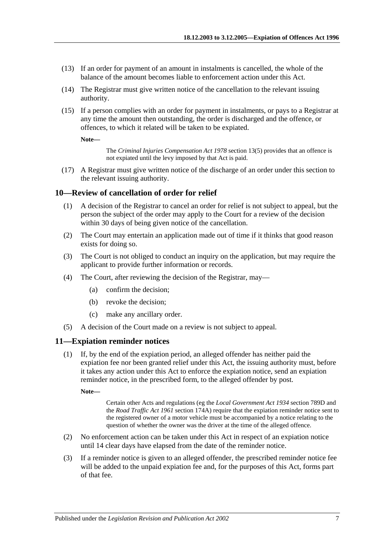- (13) If an order for payment of an amount in instalments is cancelled, the whole of the balance of the amount becomes liable to enforcement action under this Act.
- (14) The Registrar must give written notice of the cancellation to the relevant issuing authority.
- (15) If a person complies with an order for payment in instalments, or pays to a Registrar at any time the amount then outstanding, the order is discharged and the offence, or offences, to which it related will be taken to be expiated.

**Note—**

The *[Criminal Injuries Compensation Act](http://www.legislation.sa.gov.au/index.aspx?action=legref&type=act&legtitle=Criminal%20Injuries%20Compensation%20Act%201978) 1978* section 13(5) provides that an offence is not expiated until the levy imposed by that Act is paid.

(17) A Registrar must give written notice of the discharge of an order under this section to the relevant issuing authority.

### <span id="page-6-0"></span>**10—Review of cancellation of order for relief**

- (1) A decision of the Registrar to cancel an order for relief is not subject to appeal, but the person the subject of the order may apply to the Court for a review of the decision within 30 days of being given notice of the cancellation.
- (2) The Court may entertain an application made out of time if it thinks that good reason exists for doing so.
- (3) The Court is not obliged to conduct an inquiry on the application, but may require the applicant to provide further information or records.
- (4) The Court, after reviewing the decision of the Registrar, may—
	- (a) confirm the decision;
	- (b) revoke the decision;
	- (c) make any ancillary order.
- (5) A decision of the Court made on a review is not subject to appeal.

### <span id="page-6-1"></span>**11—Expiation reminder notices**

(1) If, by the end of the expiation period, an alleged offender has neither paid the expiation fee nor been granted relief under this Act, the issuing authority must, before it takes any action under this Act to enforce the expiation notice, send an expiation reminder notice, in the prescribed form, to the alleged offender by post.

**Note—**

Certain other Acts and regulations (eg the *[Local Government Act](http://www.legislation.sa.gov.au/index.aspx?action=legref&type=act&legtitle=Local%20Government%20Act%201934) 1934* section 789D and the *[Road Traffic Act](http://www.legislation.sa.gov.au/index.aspx?action=legref&type=act&legtitle=Road%20Traffic%20Act%201961) 1961* section 174A) require that the expiation reminder notice sent to the registered owner of a motor vehicle must be accompanied by a notice relating to the question of whether the owner was the driver at the time of the alleged offence.

- (2) No enforcement action can be taken under this Act in respect of an expiation notice until 14 clear days have elapsed from the date of the reminder notice.
- (3) If a reminder notice is given to an alleged offender, the prescribed reminder notice fee will be added to the unpaid expiation fee and, for the purposes of this Act, forms part of that fee.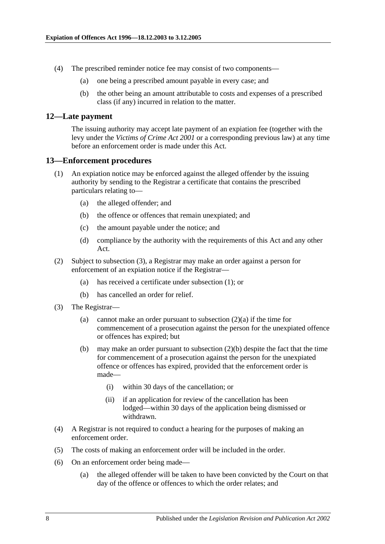- (4) The prescribed reminder notice fee may consist of two components—
	- (a) one being a prescribed amount payable in every case; and
	- (b) the other being an amount attributable to costs and expenses of a prescribed class (if any) incurred in relation to the matter.

#### <span id="page-7-0"></span>**12—Late payment**

The issuing authority may accept late payment of an expiation fee (together with the levy under the *[Victims of Crime Act](http://www.legislation.sa.gov.au/index.aspx?action=legref&type=act&legtitle=Victims%20of%20Crime%20Act%202001) 2001* or a corresponding previous law) at any time before an enforcement order is made under this Act.

### <span id="page-7-3"></span><span id="page-7-1"></span>**13—Enforcement procedures**

- (1) An expiation notice may be enforced against the alleged offender by the issuing authority by sending to the Registrar a certificate that contains the prescribed particulars relating to—
	- (a) the alleged offender; and
	- (b) the offence or offences that remain unexpiated; and
	- (c) the amount payable under the notice; and
	- (d) compliance by the authority with the requirements of this Act and any other Act.
- <span id="page-7-4"></span>(2) Subject to [subsection](#page-7-2) (3), a Registrar may make an order against a person for enforcement of an expiation notice if the Registrar—
	- (a) has received a certificate under [subsection](#page-7-3) (1); or
	- (b) has cancelled an order for relief.
- <span id="page-7-5"></span><span id="page-7-2"></span>(3) The Registrar
	- (a) cannot make an order pursuant to [subsection](#page-7-4)  $(2)(a)$  if the time for commencement of a prosecution against the person for the unexpiated offence or offences has expired; but
	- (b) may make an order pursuant to [subsection](#page-7-5) (2)(b) despite the fact that the time for commencement of a prosecution against the person for the unexpiated offence or offences has expired, provided that the enforcement order is made—
		- (i) within 30 days of the cancellation; or
		- (ii) if an application for review of the cancellation has been lodged—within 30 days of the application being dismissed or withdrawn.
- (4) A Registrar is not required to conduct a hearing for the purposes of making an enforcement order.
- (5) The costs of making an enforcement order will be included in the order.
- (6) On an enforcement order being made—
	- (a) the alleged offender will be taken to have been convicted by the Court on that day of the offence or offences to which the order relates; and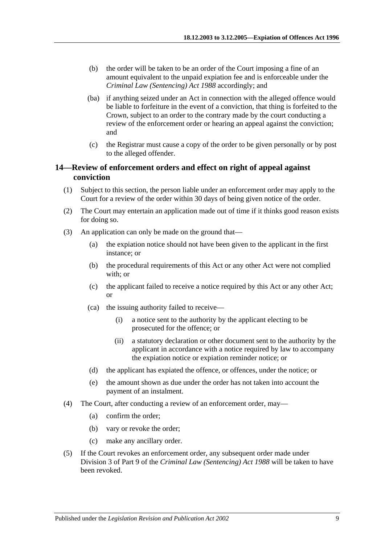- (b) the order will be taken to be an order of the Court imposing a fine of an amount equivalent to the unpaid expiation fee and is enforceable under the *[Criminal Law \(Sentencing\) Act](http://www.legislation.sa.gov.au/index.aspx?action=legref&type=act&legtitle=Criminal%20Law%20(Sentencing)%20Act%201988) 1988* accordingly; and
- (ba) if anything seized under an Act in connection with the alleged offence would be liable to forfeiture in the event of a conviction, that thing is forfeited to the Crown, subject to an order to the contrary made by the court conducting a review of the enforcement order or hearing an appeal against the conviction; and
- (c) the Registrar must cause a copy of the order to be given personally or by post to the alleged offender.

### <span id="page-8-0"></span>**14—Review of enforcement orders and effect on right of appeal against conviction**

- (1) Subject to this section, the person liable under an enforcement order may apply to the Court for a review of the order within 30 days of being given notice of the order.
- (2) The Court may entertain an application made out of time if it thinks good reason exists for doing so.
- <span id="page-8-3"></span><span id="page-8-2"></span><span id="page-8-1"></span>(3) An application can only be made on the ground that—
	- (a) the expiation notice should not have been given to the applicant in the first instance; or
	- (b) the procedural requirements of this Act or any other Act were not complied with; or
	- (c) the applicant failed to receive a notice required by this Act or any other Act; or
	- (ca) the issuing authority failed to receive—
		- (i) a notice sent to the authority by the applicant electing to be prosecuted for the offence; or
		- (ii) a statutory declaration or other document sent to the authority by the applicant in accordance with a notice required by law to accompany the expiation notice or expiation reminder notice; or
	- (d) the applicant has expiated the offence, or offences, under the notice; or
	- (e) the amount shown as due under the order has not taken into account the payment of an instalment.
- (4) The Court, after conducting a review of an enforcement order, may—
	- (a) confirm the order;
	- (b) vary or revoke the order;
	- (c) make any ancillary order.
- (5) If the Court revokes an enforcement order, any subsequent order made under Division 3 of Part 9 of the *[Criminal Law \(Sentencing\) Act](http://www.legislation.sa.gov.au/index.aspx?action=legref&type=act&legtitle=Criminal%20Law%20(Sentencing)%20Act%201988) 1988* will be taken to have been revoked.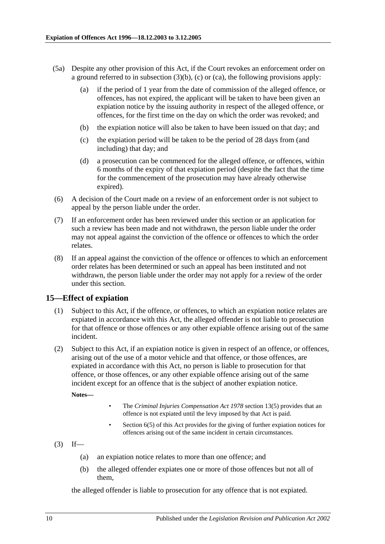- (5a) Despite any other provision of this Act, if the Court revokes an enforcement order on a ground referred to in [subsection](#page-8-1)  $(3)(b)$ , [\(c\)](#page-8-2) or [\(ca\),](#page-8-3) the following provisions apply:
	- (a) if the period of 1 year from the date of commission of the alleged offence, or offences, has not expired, the applicant will be taken to have been given an expiation notice by the issuing authority in respect of the alleged offence, or offences, for the first time on the day on which the order was revoked; and
	- (b) the expiation notice will also be taken to have been issued on that day; and
	- (c) the expiation period will be taken to be the period of 28 days from (and including) that day; and
	- (d) a prosecution can be commenced for the alleged offence, or offences, within 6 months of the expiry of that expiation period (despite the fact that the time for the commencement of the prosecution may have already otherwise expired).
- (6) A decision of the Court made on a review of an enforcement order is not subject to appeal by the person liable under the order.
- (7) If an enforcement order has been reviewed under this section or an application for such a review has been made and not withdrawn, the person liable under the order may not appeal against the conviction of the offence or offences to which the order relates.
- (8) If an appeal against the conviction of the offence or offences to which an enforcement order relates has been determined or such an appeal has been instituted and not withdrawn, the person liable under the order may not apply for a review of the order under this section.

### <span id="page-9-0"></span>**15—Effect of expiation**

- (1) Subject to this Act, if the offence, or offences, to which an expiation notice relates are expiated in accordance with this Act, the alleged offender is not liable to prosecution for that offence or those offences or any other expiable offence arising out of the same incident.
- (2) Subject to this Act, if an expiation notice is given in respect of an offence, or offences, arising out of the use of a motor vehicle and that offence, or those offences, are expiated in accordance with this Act, no person is liable to prosecution for that offence, or those offences, or any other expiable offence arising out of the same incident except for an offence that is the subject of another expiation notice.

**Notes—**

- The *[Criminal Injuries Compensation Act](http://www.legislation.sa.gov.au/index.aspx?action=legref&type=act&legtitle=Criminal%20Injuries%20Compensation%20Act%201978) 1978* section 13(5) provides that an offence is not expiated until the levy imposed by that Act is paid.
- [Section](#page-4-4) 6(5) of this Act provides for the giving of further expiation notices for offences arising out of the same incident in certain circumstances.
- $(3)$  If—
	- (a) an expiation notice relates to more than one offence; and
	- (b) the alleged offender expiates one or more of those offences but not all of them,

the alleged offender is liable to prosecution for any offence that is not expiated.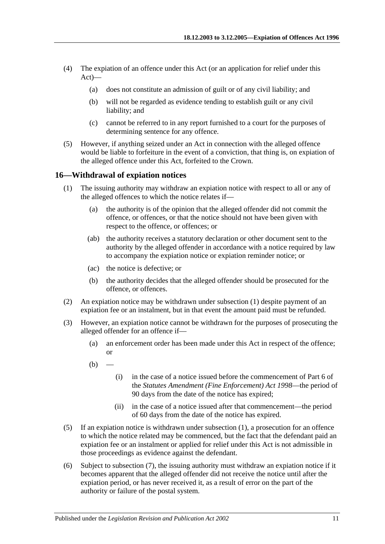- (4) The expiation of an offence under this Act (or an application for relief under this Act)—
	- (a) does not constitute an admission of guilt or of any civil liability; and
	- (b) will not be regarded as evidence tending to establish guilt or any civil liability; and
	- (c) cannot be referred to in any report furnished to a court for the purposes of determining sentence for any offence.
- (5) However, if anything seized under an Act in connection with the alleged offence would be liable to forfeiture in the event of a conviction, that thing is, on expiation of the alleged offence under this Act, forfeited to the Crown.

### <span id="page-10-1"></span><span id="page-10-0"></span>**16—Withdrawal of expiation notices**

- <span id="page-10-3"></span>(1) The issuing authority may withdraw an expiation notice with respect to all or any of the alleged offences to which the notice relates if—
	- (a) the authority is of the opinion that the alleged offender did not commit the offence, or offences, or that the notice should not have been given with respect to the offence, or offences; or
	- (ab) the authority receives a statutory declaration or other document sent to the authority by the alleged offender in accordance with a notice required by law to accompany the expiation notice or expiation reminder notice; or
	- (ac) the notice is defective; or
	- (b) the authority decides that the alleged offender should be prosecuted for the offence, or offences.
- (2) An expiation notice may be withdrawn under [subsection](#page-10-1) (1) despite payment of an expiation fee or an instalment, but in that event the amount paid must be refunded.
- (3) However, an expiation notice cannot be withdrawn for the purposes of prosecuting the alleged offender for an offence if—
	- (a) an enforcement order has been made under this Act in respect of the offence; or
	- $(b)$ 
		- (i) in the case of a notice issued before the commencement of Part 6 of the *[Statutes Amendment \(Fine Enforcement\) Act](http://www.legislation.sa.gov.au/index.aspx?action=legref&type=act&legtitle=Statutes%20Amendment%20(Fine%20Enforcement)%20Act%201998) 1998*—the period of 90 days from the date of the notice has expired;
		- (ii) in the case of a notice issued after that commencement—the period of 60 days from the date of the notice has expired.
- (5) If an expiation notice is withdrawn under [subsection](#page-10-1) (1), a prosecution for an offence to which the notice related may be commenced, but the fact that the defendant paid an expiation fee or an instalment or applied for relief under this Act is not admissible in those proceedings as evidence against the defendant.
- <span id="page-10-2"></span>(6) Subject to [subsection](#page-11-1) (7), the issuing authority must withdraw an expiation notice if it becomes apparent that the alleged offender did not receive the notice until after the expiation period, or has never received it, as a result of error on the part of the authority or failure of the postal system.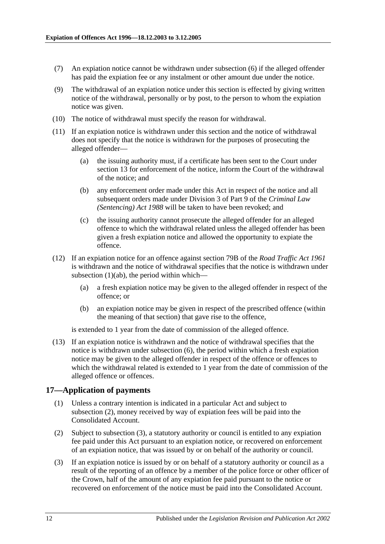- <span id="page-11-1"></span>(7) An expiation notice cannot be withdrawn under [subsection](#page-10-2) (6) if the alleged offender has paid the expiation fee or any instalment or other amount due under the notice.
- (9) The withdrawal of an expiation notice under this section is effected by giving written notice of the withdrawal, personally or by post, to the person to whom the expiation notice was given.
- (10) The notice of withdrawal must specify the reason for withdrawal.
- (11) If an expiation notice is withdrawn under this section and the notice of withdrawal does not specify that the notice is withdrawn for the purposes of prosecuting the alleged offender—
	- (a) the issuing authority must, if a certificate has been sent to the Court under [section](#page-7-1) 13 for enforcement of the notice, inform the Court of the withdrawal of the notice; and
	- (b) any enforcement order made under this Act in respect of the notice and all subsequent orders made under Division 3 of Part 9 of the *[Criminal Law](http://www.legislation.sa.gov.au/index.aspx?action=legref&type=act&legtitle=Criminal%20Law%20(Sentencing)%20Act%201988)  [\(Sentencing\) Act](http://www.legislation.sa.gov.au/index.aspx?action=legref&type=act&legtitle=Criminal%20Law%20(Sentencing)%20Act%201988) 1988* will be taken to have been revoked; and
	- (c) the issuing authority cannot prosecute the alleged offender for an alleged offence to which the withdrawal related unless the alleged offender has been given a fresh expiation notice and allowed the opportunity to expiate the offence.
- (12) If an expiation notice for an offence against section 79B of the *[Road Traffic Act](http://www.legislation.sa.gov.au/index.aspx?action=legref&type=act&legtitle=Road%20Traffic%20Act%201961) 1961* is withdrawn and the notice of withdrawal specifies that the notice is withdrawn under [subsection](#page-10-3)  $(1)(ab)$ , the period within which-
	- (a) a fresh expiation notice may be given to the alleged offender in respect of the offence; or
	- (b) an expiation notice may be given in respect of the prescribed offence (within the meaning of that section) that gave rise to the offence,

is extended to 1 year from the date of commission of the alleged offence.

(13) If an expiation notice is withdrawn and the notice of withdrawal specifies that the notice is withdrawn under [subsection](#page-10-2) (6), the period within which a fresh expiation notice may be given to the alleged offender in respect of the offence or offences to which the withdrawal related is extended to 1 year from the date of commission of the alleged offence or offences.

### <span id="page-11-0"></span>**17—Application of payments**

- (1) Unless a contrary intention is indicated in a particular Act and subject to [subsection](#page-11-2) (2), money received by way of expiation fees will be paid into the Consolidated Account.
- <span id="page-11-2"></span>(2) Subject to [subsection](#page-11-3) (3), a statutory authority or council is entitled to any expiation fee paid under this Act pursuant to an expiation notice, or recovered on enforcement of an expiation notice, that was issued by or on behalf of the authority or council.
- <span id="page-11-3"></span>(3) If an expiation notice is issued by or on behalf of a statutory authority or council as a result of the reporting of an offence by a member of the police force or other officer of the Crown, half of the amount of any expiation fee paid pursuant to the notice or recovered on enforcement of the notice must be paid into the Consolidated Account.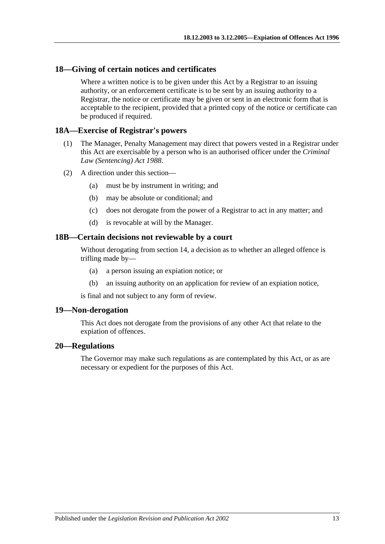### <span id="page-12-0"></span>**18—Giving of certain notices and certificates**

Where a written notice is to be given under this Act by a Registrar to an issuing authority, or an enforcement certificate is to be sent by an issuing authority to a Registrar, the notice or certificate may be given or sent in an electronic form that is acceptable to the recipient, provided that a printed copy of the notice or certificate can be produced if required.

### <span id="page-12-1"></span>**18A—Exercise of Registrar's powers**

- (1) The Manager, Penalty Management may direct that powers vested in a Registrar under this Act are exercisable by a person who is an authorised officer under the *[Criminal](http://www.legislation.sa.gov.au/index.aspx?action=legref&type=act&legtitle=Criminal%20Law%20(Sentencing)%20Act%201988)  [Law \(Sentencing\) Act](http://www.legislation.sa.gov.au/index.aspx?action=legref&type=act&legtitle=Criminal%20Law%20(Sentencing)%20Act%201988) 1988*.
- (2) A direction under this section—
	- (a) must be by instrument in writing; and
	- (b) may be absolute or conditional; and
	- (c) does not derogate from the power of a Registrar to act in any matter; and
	- (d) is revocable at will by the Manager.

### <span id="page-12-2"></span>**18B—Certain decisions not reviewable by a court**

Without derogating from [section](#page-8-0) 14, a decision as to whether an alleged offence is trifling made by—

- (a) a person issuing an expiation notice; or
- (b) an issuing authority on an application for review of an expiation notice,

is final and not subject to any form of review.

### <span id="page-12-3"></span>**19—Non-derogation**

This Act does not derogate from the provisions of any other Act that relate to the expiation of offences.

#### <span id="page-12-4"></span>**20—Regulations**

The Governor may make such regulations as are contemplated by this Act, or as are necessary or expedient for the purposes of this Act.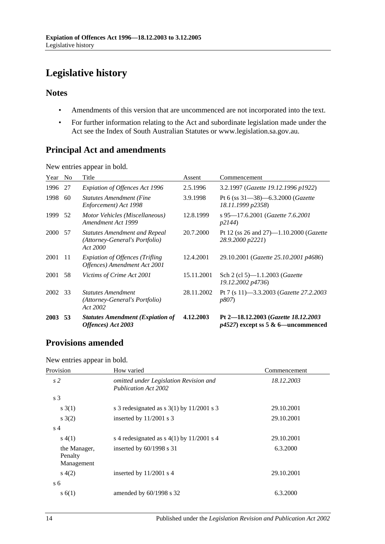# <span id="page-13-0"></span>**Legislative history**

### **Notes**

- Amendments of this version that are uncommenced are not incorporated into the text.
- For further information relating to the Act and subordinate legislation made under the Act see the Index of South Australian Statutes or www.legislation.sa.gov.au.

# **Principal Act and amendments**

New entries appear in bold.

| Year        | N <sub>o</sub> | Title                                                                              | Assent     | Commencement                                                                  |
|-------------|----------------|------------------------------------------------------------------------------------|------------|-------------------------------------------------------------------------------|
| 1996        | 27             | Expiation of Offences Act 1996                                                     | 2.5.1996   | 3.2.1997 (Gazette 19.12.1996 p1922)                                           |
| 1998        | 60             | <b>Statutes Amendment (Fine</b><br>Enforcement) Act 1998                           | 3.9.1998   | Pt 6 (ss $31-38$ )-6.3.2000 ( <i>Gazette</i><br>18.11.1999 p2358)             |
| 1999        | 52             | Motor Vehicles (Miscellaneous)<br>Amendment Act 1999                               | 12.8.1999  | s 95-17.6.2001 (Gazette 7.6.2001)<br>p2144                                    |
| 2000        | -57            | <b>Statutes Amendment and Repeal</b><br>(Attorney-General's Portfolio)<br>Act 2000 | 20.7.2000  | Pt 12 (ss 26 and 27)—1.10.2000 ( <i>Gazette</i><br>28.9.2000 p2221)           |
| 2001        | 11             | <b>Expiation of Offences (Trifling</b><br>Offences) Amendment Act 2001             | 12.4.2001  | 29.10.2001 (Gazette 25.10.2001 p4686)                                         |
| 2001        | 58             | Victims of Crime Act 2001                                                          | 15.11.2001 | Sch 2 (cl 5)-1.1.2003 ( <i>Gazette</i><br>19.12.2002 p4736)                   |
| 2002        | 33             | <b>Statutes Amendment</b><br>(Attorney-General's Portfolio)<br>Act 2002            | 28.11.2002 | Pt 7 (s 11)-3.3.2003 ( <i>Gazette 27.2.2003</i><br><i>p807</i> )              |
| <b>2003</b> | 53             | <b>Statutes Amendment (Expiation of</b><br>Offences) Act 2003                      | 4.12.2003  | Pt 2-18.12.2003 (Gazette 18.12.2003)<br>$p4527$ ) except ss 5 & 6—uncommenced |

# **Provisions amended**

New entries appear in bold.

| Provision                             | How varied                                                            | Commencement |  |
|---------------------------------------|-----------------------------------------------------------------------|--------------|--|
| s <sub>2</sub>                        | omitted under Legislation Revision and<br><b>Publication Act 2002</b> | 18.12.2003   |  |
| s 3                                   |                                                                       |              |  |
| s(3(1))                               | s 3 redesignated as $s$ 3(1) by 11/2001 s 3                           | 29.10.2001   |  |
| s(2)                                  | inserted by $11/2001$ s 3                                             | 29.10.2001   |  |
| s <sub>4</sub>                        |                                                                       |              |  |
| s(4(1))                               | s 4 redesignated as $s$ 4(1) by 11/2001 s 4                           | 29.10.2001   |  |
| the Manager,<br>Penalty<br>Management | inserted by $60/1998$ s 31                                            | 6.3.2000     |  |
| s(4(2))                               | inserted by $11/2001$ s 4                                             | 29.10.2001   |  |
| s 6                                   |                                                                       |              |  |
| s(6(1))                               | amended by $60/1998$ s 32                                             | 6.3.2000     |  |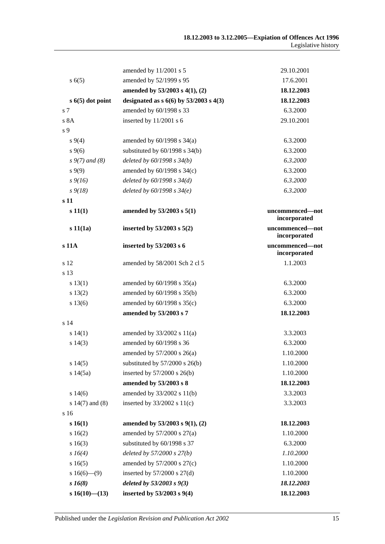|                     | amended by 11/2001 s 5                    | 29.10.2001                      |
|---------------------|-------------------------------------------|---------------------------------|
| s(6(5)              | amended by 52/1999 s 95                   | 17.6.2001                       |
|                     | amended by 53/2003 s 4(1), (2)            | 18.12.2003                      |
| $s$ 6(5) dot point  | designated as $s\ 6(6)$ by 53/2003 s 4(3) | 18.12.2003                      |
| s 7                 | amended by 60/1998 s 33                   | 6.3.2000                        |
| s 8A                | inserted by 11/2001 s 6                   | 29.10.2001                      |
| s 9                 |                                           |                                 |
| $s\,9(4)$           | amended by $60/1998$ s $34(a)$            | 6.3.2000                        |
| $s \, 9(6)$         | substituted by $60/1998$ s $34(b)$        | 6.3.2000                        |
| $s \, 9(7)$ and (8) | deleted by $60/1998 s 34(b)$              | 6.3.2000                        |
| $s\,9(9)$           | amended by 60/1998 s 34(c)                | 6.3.2000                        |
| $s\,9(16)$          | deleted by $60/1998 s 34(d)$              | 6.3.2000                        |
| $s\,9(18)$          | deleted by $60/1998 s 34(e)$              | 6.3.2000                        |
| s 11                |                                           |                                 |
| s 11(1)             | amended by 53/2003 s 5(1)                 | uncommenced-not<br>incorporated |
| s 11(1a)            | inserted by $53/2003$ s $5(2)$            | uncommenced-not<br>incorporated |
| s 11A               | inserted by 53/2003 s 6                   | uncommenced-not<br>incorporated |
| s 12                | amended by 58/2001 Sch 2 cl 5             | 1.1.2003                        |
| s 13                |                                           |                                 |
| s 13(1)             | amended by $60/1998$ s $35(a)$            | 6.3.2000                        |
| s 13(2)             | amended by 60/1998 s 35(b)                | 6.3.2000                        |
| s 13(6)             | amended by 60/1998 s 35(c)                | 6.3.2000                        |
|                     | amended by 53/2003 s 7                    | 18.12.2003                      |
| s 14                |                                           |                                 |
| s 14(1)             | amended by $33/2002$ s $11(a)$            | 3.3.2003                        |
| s 14(3)             | amended by 60/1998 s 36                   | 6.3.2000                        |
|                     | amended by $57/2000$ s $26(a)$            | 1.10.2000                       |
| s 14(5)             | substituted by $57/2000$ s $26(b)$        | 1.10.2000                       |
| s 14(5a)            | inserted by 57/2000 s 26(b)               | 1.10.2000                       |
|                     | amended by 53/2003 s 8                    | 18.12.2003                      |
| s 14(6)             | amended by 33/2002 s 11(b)                | 3.3.2003                        |
| s $14(7)$ and $(8)$ | inserted by 33/2002 s 11(c)               | 3.3.2003                        |
| s 16                |                                           |                                 |
| s 16(1)             | amended by $53/2003$ s $9(1)$ , (2)       | 18.12.2003                      |
| s 16(2)             | amended by $57/2000$ s $27(a)$            | 1.10.2000                       |
| s 16(3)             | substituted by 60/1998 s 37               | 6.3.2000                        |
| $s \; 16(4)$        | deleted by $57/2000$ s $27(b)$            | 1.10.2000                       |
| s16(5)              | amended by $57/2000$ s $27(c)$            | 1.10.2000                       |
| s $16(6)$ — $(9)$   | inserted by $57/2000$ s $27(d)$           | 1.10.2000                       |
| $s\,16(8)$          | deleted by $53/2003$ s $9(3)$             | 18.12.2003                      |
| s $16(10)$ — $(13)$ | inserted by 53/2003 s 9(4)                | 18.12.2003                      |